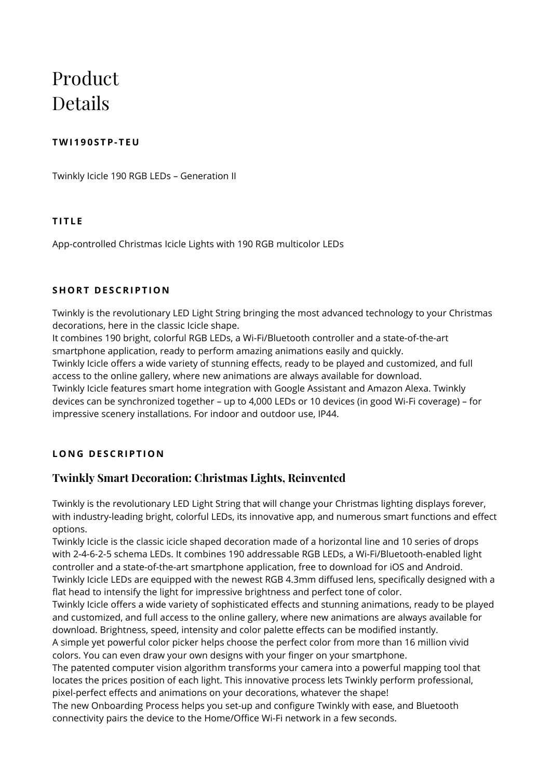# Product Details

# **TWI190 S TP- TE U**

Twinkly Icicle 190 RGB LEDs – Generation II

# **TITL E**

App-controlled Christmas Icicle Lights with 190 RGB multicolor LEDs

## **SHORT DESCRIPTION**

Twinkly is the revolutionary LED Light String bringing the most advanced technology to your Christmas decorations, here in the classic Icicle shape.

It combines 190 bright, colorful RGB LEDs, a Wi-Fi/Bluetooth controller and a state-of-the-art smartphone application, ready to perform amazing animations easily and quickly.

Twinkly Icicle offers a wide variety of stunning effects, ready to be played and customized, and full access to the online gallery, where new animations are always available for download.

Twinkly Icicle features smart home integration with Google Assistant and Amazon Alexa. Twinkly devices can be synchronized together – up to 4,000 LEDs or 10 devices (in good Wi-Fi coverage) – for impressive scenery installations. For indoor and outdoor use, IP44.

# **LONG DESCRIPTION**

# **Twinkly Smart Decoration: Christmas Lights, Reinvented**

Twinkly is the revolutionary LED Light String that will change your Christmas lighting displays forever, with industry-leading bright, colorful LEDs, its innovative app, and numerous smart functions and effect options.

Twinkly Icicle is the classic icicle shaped decoration made of a horizontal line and 10 series of drops with 2-4-6-2-5 schema LEDs. It combines 190 addressable RGB LEDs, a Wi-Fi/Bluetooth-enabled light controller and a state-of-the-art smartphone application, free to download for iOS and Android. Twinkly Icicle LEDs are equipped with the newest RGB 4.3mm diffused lens, specifically designed with a flat head to intensify the light for impressive brightness and perfect tone of color.

Twinkly Icicle offers a wide variety of sophisticated effects and stunning animations, ready to be played and customized, and full access to the online gallery, where new animations are always available for download. Brightness, speed, intensity and color palette effects can be modified instantly. A simple yet powerful color picker helps choose the perfect color from more than 16 million vivid

colors. You can even draw your own designs with your finger on your smartphone.

The patented computer vision algorithm transforms your camera into a powerful mapping tool that locates the prices position of each light. This innovative process lets Twinkly perform professional, pixel-perfect effects and animations on your decorations, whatever the shape!

The new Onboarding Process helps you set-up and configure Twinkly with ease, and Bluetooth connectivity pairs the device to the Home/Office Wi-Fi network in a few seconds.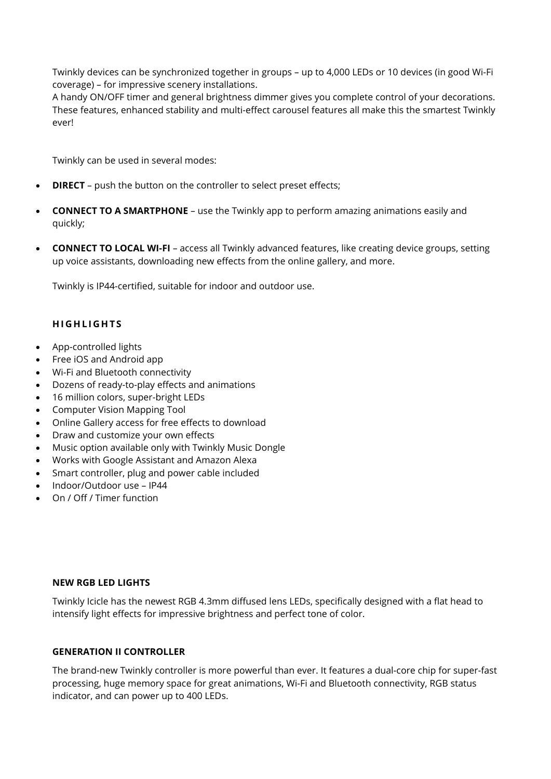Twinkly devices can be synchronized together in groups – up to 4,000 LEDs or 10 devices (in good Wi-Fi coverage) – for impressive scenery installations.

A handy ON/OFF timer and general brightness dimmer gives you complete control of your decorations. These features, enhanced stability and multi-effect carousel features all make this the smartest Twinkly ever!

Twinkly can be used in several modes:

- **DIRECT** push the button on the controller to select preset effects;
- **CONNECT TO A SMARTPHONE** use the Twinkly app to perform amazing animations easily and quickly;
- **CONNECT TO LOCAL WI-FI** access all Twinkly advanced features, like creating device groups, setting up voice assistants, downloading new effects from the online gallery, and more.

Twinkly is IP44-certified, suitable for indoor and outdoor use.

## **HIGHLIGHTS**

- App-controlled lights
- Free iOS and Android app
- Wi-Fi and Bluetooth connectivity
- Dozens of ready-to-play effects and animations
- 16 million colors, super-bright LEDs
- Computer Vision Mapping Tool
- Online Gallery access for free effects to download
- Draw and customize your own effects
- Music option available only with Twinkly Music Dongle
- Works with Google Assistant and Amazon Alexa
- Smart controller, plug and power cable included
- Indoor/Outdoor use IP44
- On / Off / Timer function

## **NEW RGB LED LIGHTS**

Twinkly Icicle has the newest RGB 4.3mm diffused lens LEDs, specifically designed with a flat head to intensify light effects for impressive brightness and perfect tone of color.

#### **GENERATION II CONTROLLER**

The brand-new Twinkly controller is more powerful than ever. It features a dual-core chip for super-fast processing, huge memory space for great animations, Wi-Fi and Bluetooth connectivity, RGB status indicator, and can power up to 400 LEDs.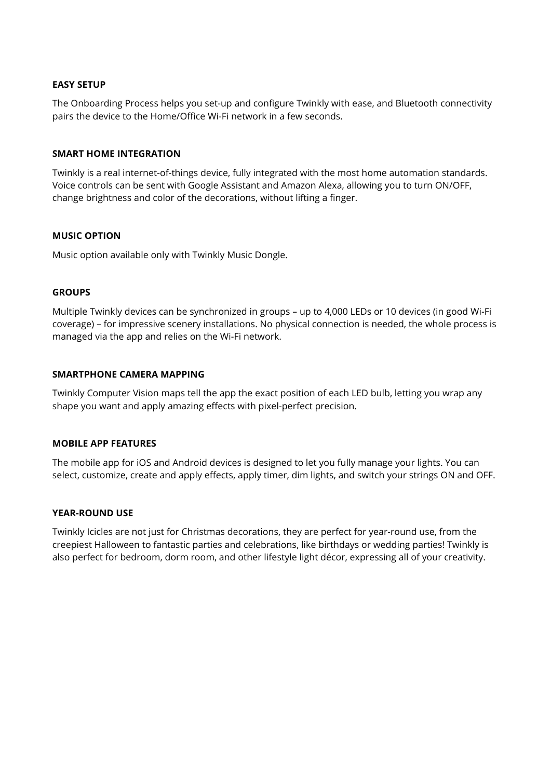#### **EASY SETUP**

The Onboarding Process helps you set-up and configure Twinkly with ease, and Bluetooth connectivity pairs the device to the Home/Office Wi-Fi network in a few seconds.

## **SMART HOME INTEGRATION**

Twinkly is a real internet-of-things device, fully integrated with the most home automation standards. Voice controls can be sent with Google Assistant and Amazon Alexa, allowing you to turn ON/OFF, change brightness and color of the decorations, without lifting a finger.

## **MUSIC OPTION**

Music option available only with Twinkly Music Dongle.

## **GROUPS**

Multiple Twinkly devices can be synchronized in groups – up to 4,000 LEDs or 10 devices (in good Wi-Fi coverage) – for impressive scenery installations. No physical connection is needed, the whole process is managed via the app and relies on the Wi-Fi network.

## **SMARTPHONE CAMERA MAPPING**

Twinkly Computer Vision maps tell the app the exact position of each LED bulb, letting you wrap any shape you want and apply amazing effects with pixel-perfect precision.

#### **MOBILE APP FEATURES**

The mobile app for iOS and Android devices is designed to let you fully manage your lights. You can select, customize, create and apply effects, apply timer, dim lights, and switch your strings ON and OFF.

#### **YEAR-ROUND USE**

Twinkly Icicles are not just for Christmas decorations, they are perfect for year-round use, from the creepiest Halloween to fantastic parties and celebrations, like birthdays or wedding parties! Twinkly is also perfect for bedroom, dorm room, and other lifestyle light décor, expressing all of your creativity.